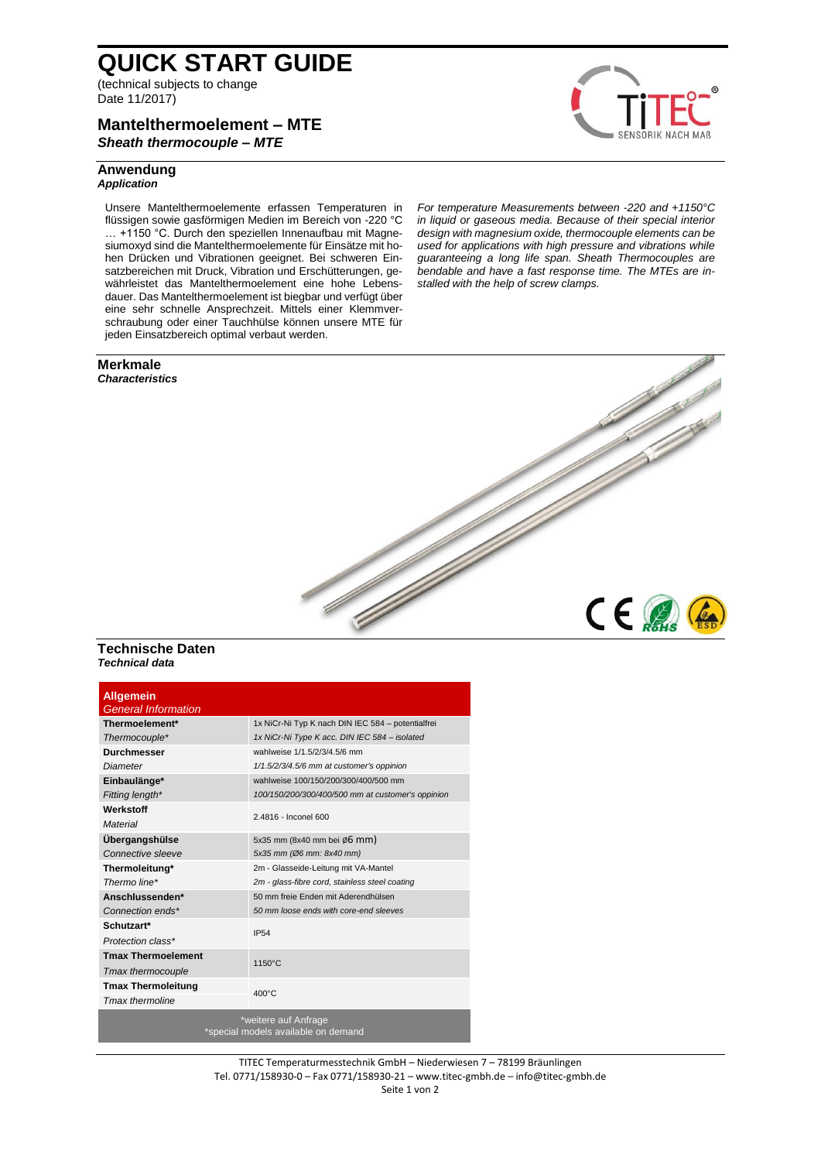# **QUICK START GUIDE**

(technical subjects to change Date 11/2017)

## **Mantelthermoelement – MTE** *Sheath thermocouple – MTE*

## **Anwendung** *Application*

Unsere Mantelthermoelemente erfassen Temperaturen in flüssigen sowie gasförmigen Medien im Bereich von -220 °C … +1150 °C. Durch den speziellen Innenaufbau mit Magnesiumoxyd sind die Mantelthermoelemente für Einsätze mit hohen Drücken und Vibrationen geeignet. Bei schweren Einsatzbereichen mit Druck, Vibration und Erschütterungen, gewährleistet das Mantelthermoelement eine hohe Lebensdauer. Das Mantelthermoelement ist biegbar und verfügt über eine sehr schnelle Ansprechzeit. Mittels einer Klemmverschraubung oder einer Tauchhülse können unsere MTE für jeden Einsatzbereich optimal verbaut werden.

#### **Merkmale** *Characteristics*



 $C \in \mathbb{Z}$ 

*For temperature Measurements between -220 and +1150°C in liquid or gaseous media. Because of their special interior design with magnesium oxide, thermocouple elements can be used for applications with high pressure and vibrations while guaranteeing a long life span. Sheath Thermocouples are bendable and have a fast response time. The MTEs are installed with the help of screw clamps.*

## **Technische Daten** *Technical data*

| <b>Allgemein</b><br><b>General Information</b>              |                                                   |
|-------------------------------------------------------------|---------------------------------------------------|
| Thermoelement*                                              | 1x NiCr-Ni Typ K nach DIN IEC 584 - potentialfrei |
| Thermocouple*                                               | 1x NiCr-Ni Type K acc. DIN IEC 584 - isolated     |
| <b>Durchmesser</b>                                          | wahlweise 1/1.5/2/3/4.5/6 mm                      |
| <b>Diameter</b>                                             | 1/1.5/2/3/4.5/6 mm at customer's oppinion         |
| Einbaulänge*                                                | wahlweise 100/150/200/300/400/500 mm              |
| Fitting length*                                             | 100/150/200/300/400/500 mm at customer's oppinion |
| Werkstoff                                                   | 2.4816 - Inconel 600                              |
| Material                                                    |                                                   |
| Übergangshülse                                              | 5x35 mm (8x40 mm bei ø6 mm)                       |
| Connective sleeve                                           | 5x35 mm (Ø6 mm: 8x40 mm)                          |
| Thermoleitung*                                              | 2m - Glasseide-Leitung mit VA-Mantel              |
| Thermo line*                                                | 2m - glass-fibre cord, stainless steel coating    |
| Anschlussenden*                                             | 50 mm freie Enden mit Aderendhülsen               |
| Connection ends*                                            | 50 mm loose ends with core-end sleeves            |
| Schutzart*                                                  | <b>IP54</b>                                       |
| Protection class*                                           |                                                   |
| <b>Tmax Thermoelement</b>                                   | 1150°C                                            |
| Tmax thermocouple                                           |                                                   |
| <b>Tmax Thermoleitung</b>                                   |                                                   |
| <b>Tmax thermoline</b>                                      | $400^{\circ}$ C                                   |
| *weitere auf Anfrage<br>*special models available on demand |                                                   |